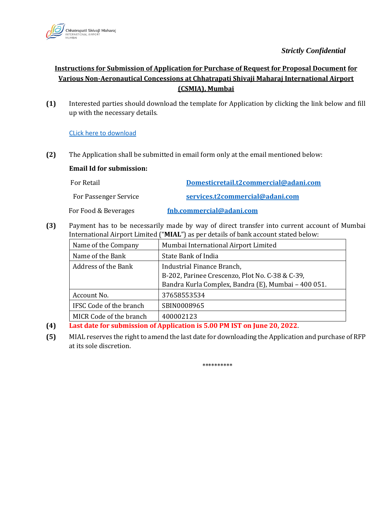

## *Strictly Confidential*

## **Instructions for Submission of Application for Purchase of Request for Proposal Document for Various Non-Aeronautical Concessions at Chhatrapati Shivaji Maharaj International Airport (CSMIA), Mumbai**

**(1)** Interested parties should download the template for Application by clicking the link below and fill up with the necessary details.

[CLick here to download](https://csmia.adaniairports.com/bizpressrelease/CommercialOpportunities/Application_for_Purchase_07_06_2022.pdf)

**(2)** The Application shall be submitted in email form only at the email mentioned below:

## **Email Id for submission:**

| For Retail            | Domesticretail.t2commercial@adani.com |
|-----------------------|---------------------------------------|
| For Passenger Service | services.t2commercial@adani.com       |
| For Food & Beverages  | fnb.commercial@adani.com              |

**(3)** Payment has to be necessarily made by way of direct transfer into current account of Mumbai International Airport Limited ("**MIAL**") as per details of bank account stated below:

| Name of the Company     | Mumbai International Airport Limited                                          |
|-------------------------|-------------------------------------------------------------------------------|
| Name of the Bank        | State Bank of India                                                           |
| Address of the Bank     | Industrial Finance Branch,<br>B-202, Parinee Crescenzo, Plot No. C-38 & C-39, |
| Account No.             | Bandra Kurla Complex, Bandra (E), Mumbai - 400 051.<br>37658553534            |
| IFSC Code of the branch | SBIN0008965                                                                   |
| MICR Code of the branch | 400002123                                                                     |

- **(4) Last date for submission of Application is 5.00 PM IST on June 20, 2022**.
- **(5)** MIAL reserves the right to amend the last date for downloading the Application and purchase of RFP at its sole discretion.

\*\*\*\*\*\*\*\*\*\*